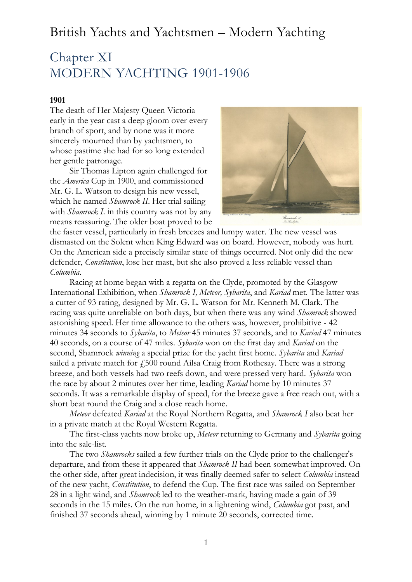# Chapter XI MODERN YACHTING 1901-1906

#### **1901**

The death of Her Majesty Queen Victoria early in the year cast a deep gloom over every branch of sport, and by none was it more sincerely mourned than by yachtsmen, to whose pastime she had for so long extended her gentle patronage.

Sir Thomas Lipton again challenged for the *America* Cup in 1900, and commissioned Mr. G. L. Watson to design his new vessel, which he named *Shamrock II*. Her trial sailing with *Shamrock I*. in this country was not by any means reassuring. The older boat proved to be



the faster vessel, particularly in fresh breezes and lumpy water. The new vessel was dismasted on the Solent when King Edward was on board. However, nobody was hurt. On the American side a precisely similar state of things occurred. Not only did the new defender, *Constitution*, lose her mast, but she also proved a less reliable vessel than *Columbia*.

Racing at home began with a regatta on the Clyde, promoted by the Glasgow International Exhibition, when *Shamrock I, Meteor, Sybarita*, and *Kariad* met. The latter was a cutter of 93 rating, designed by Mr. G. L. Watson for Mr. Kenneth M. Clark. The racing was quite unreliable on both days, but when there was any wind *Shamrock* showed astonishing speed. Her time allowance to the others was, however, prohibitive - 42 minutes 34 seconds to *Sybarita*, to *Meteor* 45 minutes 37 seconds, and to *Kariad* 47 minutes 40 seconds, on a course of 47 miles. *Sybarita* won on the first day and *Kariad* on the second, Shamrock *winning* a special prize for the yacht first home. *Sybarita* and *Kariad* sailed a private match for  $\dot{f}$  500 round Ailsa Craig from Rothesay. There was a strong breeze, and both vessels had two reefs down, and were pressed very hard. *Sybarita* won the race by about 2 minutes over her time, leading *Kariad* home by 10 minutes 37 seconds. It was a remarkable display of speed, for the breeze gave a free reach out, with a short beat round the Craig and a close reach home.

*Meteor* defeated *Kariad* at the Royal Northern Regatta, and *Shamrock I* also beat her in a private match at the Royal Western Regatta.

The first-class yachts now broke up, *Meteor* returning to Germany and *Sybarita* going into the sale-list.

The two *Shamrocks* sailed a few further trials on the Clyde prior to the challenger's departure, and from these it appeared that *Shamrock II* had been somewhat improved. On the other side, after great indecision, it was finally deemed safer to select *Columbia* instead of the new yacht, *Constitution*, to defend the Cup. The first race was sailed on September 28 in a light wind, and *Shamrock* led to the weather-mark, having made a gain of 39 seconds in the 15 miles. On the run home, in a lightening wind, *Columbia* got past, and finished 37 seconds ahead, winning by 1 minute 20 seconds, corrected time.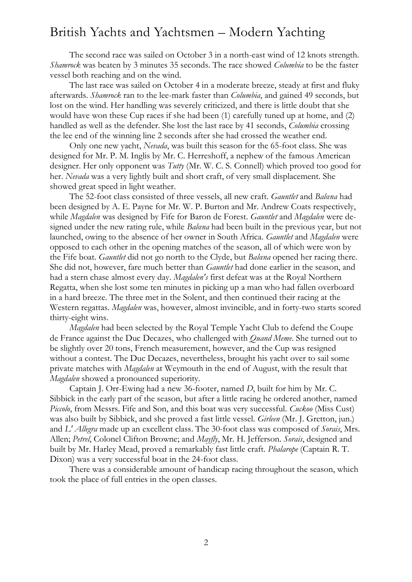The second race was sailed on October 3 in a north-east wind of 12 knots strength. *Shamrock* was beaten by 3 minutes 35 seconds. The race showed *Columbia* to be the faster vessel both reaching and on the wind.

The last race was sailed on October 4 in a moderate breeze, steady at first and fluky afterwards. *Shamrock* ran to the lee-mark faster than *Columbia*, and gained 49 seconds, but lost on the wind. Her handling was severely criticized, and there is little doubt that she would have won these Cup races if she had been (1) carefully tuned up at home, and (2) handled as well as the defender. She lost the last race by 41 seconds, *Columbia* crossing the lee end of the winning line 2 seconds after she had crossed the weather end.

Only one new yacht, *Nevada*, was built this season for the 65-foot class. She was designed for Mr. P. M. Inglis by Mr. C. Herreshoff, a nephew of the famous American designer. Her only opponent was *Tutty* (Mr. W. C. S. Connell) which proved too good for her. *Nevada* was a very lightly built and short craft, of very small displacement. She showed great speed in light weather.

The 52-foot class consisted of three vessels, all new craft. *Gauntlet* and *Balœna* had been designed by A. E. Payne for Mr. W. P. Burton and Mr. Andrew Coats respectively, while *Magdalen* was designed by Fife for Baron de Forest. *Gauntlet* and *Magdalen* were designed under the new rating rule, while *Balœna* had been built in the previous year, but not launched, owing to the absence of her owner in South Africa. *Gauntlet* and *Magdalen* were opposed to each other in the opening matches of the season, all of which were won by the Fife boat. *Gauntlet* did not go north to the Clyde, but *Balœna* opened her racing there. She did not, however, fare much better than *Gauntlet* had done earlier in the season, and had a stern chase almost every day. *Magdalen's* first defeat was at the Royal Northern Regatta, when she lost some ten minutes in picking up a man who had fallen overboard in a hard breeze. The three met in the Solent, and then continued their racing at the Western regattas. *Magdalen* was, however, almost invincible, and in forty-two starts scored thirty-eight wins.

*Magdalen* had been selected by the Royal Temple Yacht Club to defend the Coupe de France against the Duc Decazes, who challenged with *Quand Meme*. She turned out to be slightly over 20 tons, French measurement, however, and the Cup was resigned without a contest. The Duc Decazes, nevertheless, brought his yacht over to sail some private matches with *Magdalen* at Weymouth in the end of August, with the result that *Magdalen* showed a pronounced superiority.

Captain J. Orr-Ewing had a new 36-footer, named *D*, built for him by Mr. C. Sibbick in the early part of the season, but after a little racing he ordered another, named *Piccolo*, from Messrs. Fife and Son, and this boat was very successful. *Cuckoo* (Miss Cust) was also built by Sibbick, and she proved a fast little vessel. *Girleen* (Mr. J. Gretton, jun.) and *L' Allegra* made up an excellent class. The 30-foot class was composed of *Sorais*, Mrs. Allen; *Petrel*, Colonel Clifton Browne; and *Mayfly*, Mr. H. Jefferson. *Sorais*, designed and built by Mr. Harley Mead, proved a remarkably fast little craft. *Phalarope* (Captain R. T. Dixon) was a very successful boat in the 24-foot class.

There was a considerable amount of handicap racing throughout the season, which took the place of full entries in the open classes.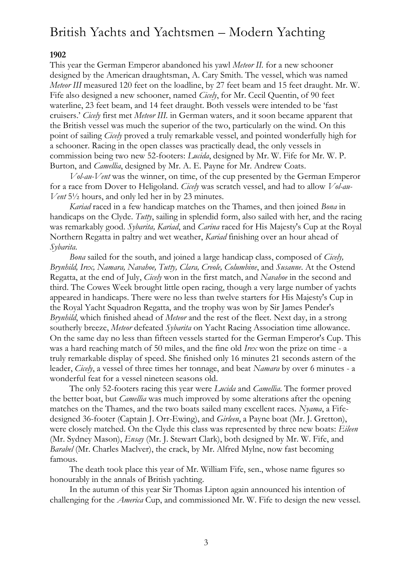### **1902**

This year the German Emperor abandoned his yawl *Meteor II.* for a new schooner designed by the American draughtsman, A. Cary Smith. The vessel, which was named *Meteor III* measured 120 feet on the loadline, by 27 feet beam and 15 feet draught. Mr. W. Fife also designed a new schooner, named *Cicely*, for Mr. Cecil Quentin, of 90 feet waterline, 23 feet beam, and 14 feet draught. Both vessels were intended to be 'fast cruisers.' *Cicely* first met *Meteor III.* in German waters, and it soon became apparent that the British vessel was much the superior of the two, particularly on the wind. On this point of sailing *Cicely* proved a truly remarkable vessel, and pointed wonderfully high for a schooner. Racing in the open classes was practically dead, the only vessels in commission being two new 52-footers: *Lucida*, designed by Mr. W. Fife for Mr. W. P. Burton, and *Camellia*, designed by Mr. A. E. Payne for Mr. Andrew Coats.

*Vol-au-Vent* was the winner, on time, of the cup presented by the German Emperor for a race from Dover to Heligoland. *Cicely* was scratch vessel, and had to allow *Vol-au-Vent* 5½ hours, and only led her in by 23 minutes.

*Kariad* raced in a few handicap matches on the Thames, and then joined *Bona* in handicaps on the Clyde. *Tutty*, sailing in splendid form, also sailed with her, and the racing was remarkably good. *Sybarita, Kariad*, and *Carina* raced for His Majesty's Cup at the Royal Northern Regatta in paltry and wet weather, *Kariad* finishing over an hour ahead of *Sybarita*.

*Bona* sailed for the south, and joined a large handicap class, composed of *Cicely, Brynhild, Irex, Namara, Navahoe, Tutty, Clara, Creole, Columbine*, and *Susanne*. At the Ostend Regatta, at the end of July, *Cicely* won in the first match, and *Navahoe* in the second and third. The Cowes Week brought little open racing, though a very large number of yachts appeared in handicaps. There were no less than twelve starters for His Majesty's Cup in the Royal Yacht Squadron Regatta, and the trophy was won by Sir James Pender's *Brynhild*, which finished ahead of *Meteor* and the rest of the fleet. Next day, in a strong southerly breeze, *Meteor* defeated *Sybarita* on Yacht Racing Association time allowance. On the same day no less than fifteen vessels started for the German Emperor's Cup. This was a hard reaching match of 50 miles, and the fine old *Irex* won the prize on time - a truly remarkable display of speed. She finished only 16 minutes 21 seconds astern of the leader, *Cicely*, a vessel of three times her tonnage, and beat *Namara* by over 6 minutes - a wonderful feat for a vessel nineteen seasons old.

The only 52-footers racing this year were *Lucida* and *Camellia*. The former proved the better boat, but *Camellia* was much improved by some alterations after the opening matches on the Thames, and the two boats sailed many excellent races. *Nyama*, a Fifedesigned 36-footer (Captain J. Orr-Ewing), and *Girleen*, a Payne boat (Mr. J. Gretton), were closely matched. On the Clyde this class was represented by three new boats: *Eileen* (Mr. Sydney Mason), *Ensay* (Mr. J. Stewart Clark), both designed by Mr. W. Fife, and *Barabel* (Mr. Charles Maclver), the crack, by Mr. Alfred Mylne, now fast becoming famous.

The death took place this year of Mr. William Fife, sen., whose name figures so honourably in the annals of British yachting.

In the autumn of this year Sir Thomas Lipton again announced his intention of challenging for the *America* Cup, and commissioned Mr. W. Fife to design the new vessel.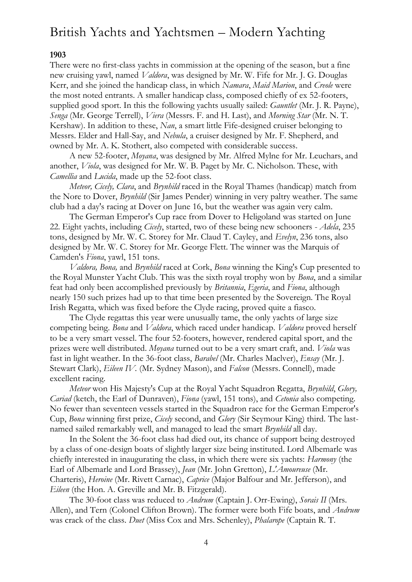### **1903**

There were no first-class yachts in commission at the opening of the season, but a fine new cruising yawl, named *Valdora*, was designed by Mr. W. Fife for Mr. J. G. Douglas Kerr, and she joined the handicap class, in which *Namara*, *Maid Marion*, and *Creole* were the most noted entrants. A smaller handicap class, composed chiefly of ex 52-footers, supplied good sport. In this the following yachts usually sailed: *Gauntlet* (Mr. J. R. Payne), *Senga* (Mr. George Terrell), *Viera* (Messrs. F. and H. Last), and *Morning Star* (Mr. N. T. Kershaw). In addition to these, *Nan*, a smart little Fife-designed cruiser belonging to Messrs. Elder and Hall-Say, and *Nebula*, a cruiser designed by Mr. F. Shepherd, and owned by Mr. A. K. Stothert, also competed with considerable success.

A new 52-footer, *Moyana*, was designed by Mr. Alfred Mylne for Mr. Leuchars, and another, *Viola*, was designed for Mr. W. B. Paget by Mr. C. Nicholson. These, with *Camellia* and *Lucida*, made up the 52-foot class.

*Meteor, Cicely, Clara*, and *Brynhild* raced in the Royal Thames (handicap) match from the Nore to Dover, *Brynhild* (Sir James Pender) winning in very paltry weather. The same club had a day's racing at Dover on June 16, but the weather was again very calm.

The German Emperor's Cup race from Dover to Heligoland was started on June 22. Eight yachts, including *Cicely*, started, two of these being new schooners - *Adela*, 235 tons, designed by Mr. W. C. Storey for Mr. Claud T. Cayley, and *Evelyn*, 236 tons, also designed by Mr. W. C. Storey for Mr. George Flett. The winner was the Marquis of Camden's *Fiona*, yawl, 151 tons.

*Valdora, Bona,* and *Brynhild* raced at Cork, *Bona* winning the King's Cup presented to the Royal Munster Yacht Club. This was the sixth royal trophy won by *Bona*, and a similar feat had only been accomplished previously by *Britannia*, *Egeria*, and *Fiona*, although nearly 150 such prizes had up to that time been presented by the Sovereign. The Royal Irish Regatta, which was fixed before the Clyde racing, proved quite a fiasco.

The Clyde regattas this year were unusually tame, the only yachts of large size competing being. *Bona* and *Valdora*, which raced under handicap. *Valdora* proved herself to be a very smart vessel. The four 52-footers, however, rendered capital sport, and the prizes were well distributed. *Moyana* turned out to be a very smart craft, and. *Viola* was fast in light weather. In the 36-foot class, *Barabel* (Mr. Charles Maclver), *Ensay* (Mr. J. Stewart Clark), *Eileen IV.* (Mr. Sydney Mason), and *Falcon* (Messrs. Connell), made excellent racing.

*Meteor* won His Majesty's Cup at the Royal Yacht Squadron Regatta, *Brynhild*, *Glory, Cariad* (ketch, the Earl of Dunraven), *Fiona* (yawl, 151 tons), and *Cetonia* also competing. No fewer than seventeen vessels started in the Squadron race for the German Emperor's Cup, *Bona* winning first prize, *Cicely* second, and *Glory* (Sir Seymour King) third. The lastnamed sailed remarkably well, and managed to lead the smart *Brynhild* all day.

In the Solent the 36-foot class had died out, its chance of support being destroyed by a class of one-design boats of slightly larger size being instituted. Lord Albemarle was chiefly interested in inaugurating the class, in which there were six yachts: *Harmony* (the Earl of Albemarle and Lord Brassey), *Jean* (Mr. John Gretton), *L'Amoureuse* (Mr. Charteris), *Heroine* (Mr. Rivett Carnac), *Caprice* (Major Balfour and Mr. Jefferson), and *Eileen* (the Hon. A. Greville and Mr. B. Fitzgerald).

The 30-foot class was reduced to *Andrum* (Captain J. Orr-Ewing), *Sorais II* (Mrs. Allen), and Tern (Colonel Clifton Brown). The former were both Fife boats, and *Andrum* was crack of the class. *Duet* (Miss Cox and Mrs. Schenley), *Phalarope* (Captain R. T.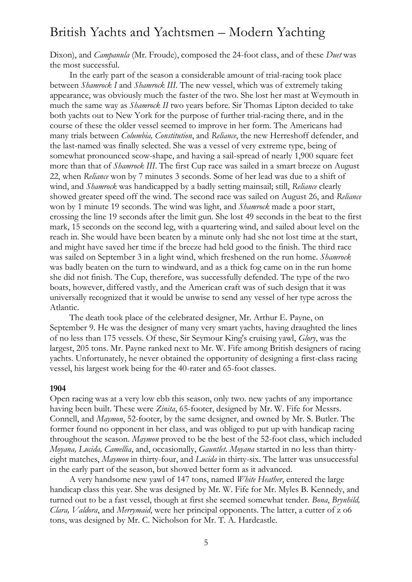Dixon), and *Campanula* (Mr. Froude), composed the 24-foot class, and of these *Duet* was the most successful.

In the early part of the season a considerable amount of trial-racing took place between *Shamrock I* and *Shamrock III*. The new vessel, which was of extremely taking appearance, was obviously much the faster of the two. She lost her mast at Weymouth in much the same way as *Shamrock II* two years before. Sir Thomas Lipton decided to take both yachts out to New York for the purpose of further trial-racing there, and in the course of these the older vessel seemed to improve in her form. The Americans had many trials between *Columbia, Constitution*, and *Reliance*, the new Herreshoff defender, and the last-named was finally selected. She was a vessel of very extreme type, being of somewhat pronounced scow-shape, and having a sail-spread of nearly 1,900 square feet more than that of *Shamrock III*. The first Cup race was sailed in a smart breeze on August 22, when *Reliance* won by 7 minutes 3 seconds. Some of her lead was due to a shift of wind, and *Shamrock* was handicapped by a badly setting mainsail; still, *Reliance* clearly showed greater speed off the wind. The second race was sailed on August 26, and *Reliance* won by 1 minute 19 seconds. The wind was light, and *Shamrock* made a poor start, crossing the line 19 seconds after the limit gun. She lost 49 seconds in the beat to the first mark, 15 seconds on the second leg, with a quartering wind, and sailed about level on the reach in. She would have been beaten by a minute only had she not lost time at the start, and might have saved her time if the breeze had held good to the finish. The third race was sailed on September 3 in a light wind, which freshened on the run home. *Shamrock* was badly beaten on the turn to windward, and as a thick fog came on in the run home she did not finish. The Cup, therefore, was successfully defended. The type of the two boats, however, differed vastly, and the American craft was of such design that it was universally recognized that it would be unwise to send any vessel of her type across the Atlantic.

The death took place of the celebrated designer, Mr. Arthur E. Payne, on September 9. He was the designer of many very smart yachts, having draughted the lines of no less than 175 vessels. Of these, Sir Seymour King's cruising yawl, *Glory*, was the largest, 205 tons. Mr. Payne ranked next to Mr. W. Fife among British designers of racing yachts. Unfortunately, he never obtained the opportunity of designing a first-class racing vessel, his largest work being for the 40-rater and 65-foot classes.

#### **1904**

Open racing was at a very low ebb this season, only two. new yachts of any importance having been built. These were *Zinita*, 65-footer, designed by Mr. W. Fife for Messrs. Connell, and *Maymon*, 52-footer, by the same designer, and owned by Mr. S. Butler. The former found no opponent in her class, and was obliged to put up with handicap racing throughout the season. *Maymon* proved to be the best of the 52-foot class, which included *Moyana, Lucida, Camellia*, and, occasionally, *Gauntlet*. *Moyana* started in no less than thirtyeight matches, *Maymon* in thirty-four, and *Lucida* in thirty-six. The latter was unsuccessful in the early part of the season, but showed better form as it advanced.

A very handsome new yawl of 147 tons, named *White Heather*, entered the large handicap class this year. She was designed by Mr. W. Fife for Mr. Myles B. Kennedy, and turned out to be a fast vessel, though at first she seemed somewhat tender. *Bona*, *Brynhild, Clara, Valdora*, and *Merrymaid*, were her principal opponents. The latter, a cutter of z o6 tons, was designed by Mr. C. Nicholson for Mr. T. A. Hardcastle.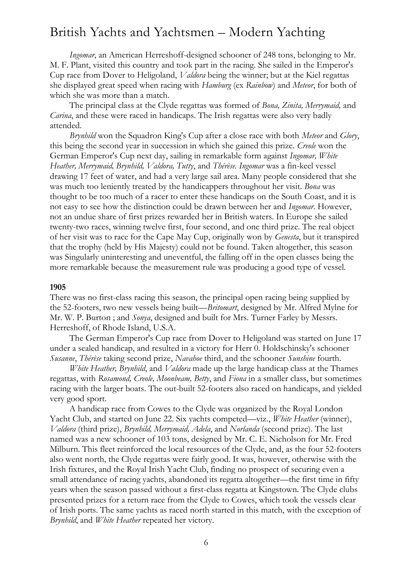*Ingomar*, an American Herreshoff-designed schooner of 248 tons, belonging to Mr. M. F. Plant, visited this country and took part in the racing. She sailed in the Emperor's Cup race from Dover to Heligoland, *Valdora* being the winner; but at the Kiel regattas she displayed great speed when racing with *Hamburg* (ex *Rainbow*) and *Meteor*, for both of which she was more than a match.

The principal class at the Clyde regattas was formed of *Bona, Zinita, Merrymaid,* and *Carina*, and these were raced in handicaps. The Irish regattas were also very badly attended.

*Brynhild* won the Squadron King's Cup after a close race with both *Meteor* and *Glory*, this being the second year in succession in which she gained this prize. *Creole* won the German Emperor's Cup next day, sailing in remarkable form against *Ingomar, White Heather, Merrymaid, Brynhild, Valdora, Tutty*, and *Thérèse. Ingomar* was a fin-keel vessel drawing 17 feet of water, and had a very large sail area. Many people considered that she was much too leniently treated by the handicappers throughout her visit. *Bona* was thought to be too much of a racer to enter these handicaps on the South Coast, and it is not easy to see how the distinction could be drawn between her and *Ingomar*. However, not an undue share of first prizes rewarded her in British waters. In Europe she sailed twenty-two races, winning twelve first, four second, and one third prize. The real object of her visit was to race for the Cape May Cup, originally won by *Genesta*, but it transpired that the trophy (held by His Majesty) could not be found. Taken altogether, this season was Singularly uninteresting and uneventful, the falling off in the open classes being the more remarkable because the measurement rule was producing a good type of vessel.

#### **1905**

There was no first-class racing this season, the principal open racing being supplied by the 52-footers, two new vessels being built—*Britomart*, designed by Mr. Alfred Mylne for Mr. W. P. Burton ; and *Sonya*, designed and built for Mrs. Turner Farley by Messrs. Herreshoff, of Rhode Island, U.S.A.

The German Emperor's Cup race from Dover to Heligoland was started on June 17 under a sealed handicap, and resulted in a victory for Herr 0. Holdschinsky's schooner *Susanne*, *Thérèse* taking second prize, *Navahoe* third, and the schooner *Sunshine* fourth.

*White Heather, Brynhild*, and *Valdora* made up the large handicap class at the Thames regattas, with *Rosamond, Creole, Moonbeam, Betty*, and *Fiona* in a smaller class, but sometimes racing with the larger boats. The out-built 52-footers also raced on handicaps, and yielded very good sport.

A handicap race from Cowes to the Clyde was organized by the Royal London Yacht Club, and started on June 22. Six yachts competed—viz., *White Heather* (winner), *Valdora* (third prize), *Brynhild, Merrymaid, Adela*, and *Norlanda* (second prize). The last named was a new schooner of 103 tons, designed by Mr. C. E. Nicholson for Mr. Fred Milburn. This fleet reinforced the local resources of the Clyde, and, as the four 52-footers also went north, the Clyde regattas were fairly good. It was, however, otherwise with the Irish fixtures, and the Royal Irish Yacht Club, finding no prospect of securing even a small attendance of racing yachts, abandoned its regatta altogether—the first time in fifty years when the season passed without a first-class regatta at Kingstown. The Clyde clubs presented prizes for a return race from the Clyde to Cowes, which took the vessels clear of Irish ports. The same yachts as raced north started in this match, with the exception of *Brynhild*, and *White Heather* repeated her victory.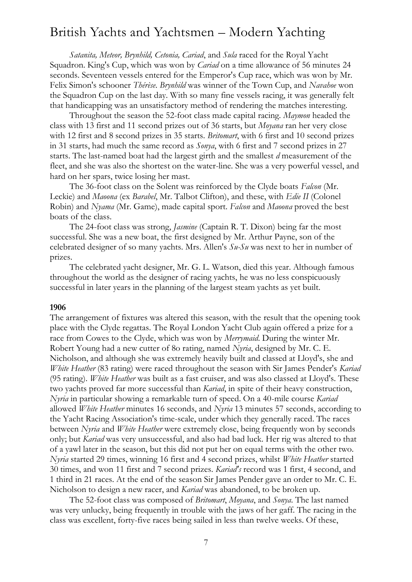*Satanita, Meteor, Brynhild, Cetonia, Cariad*, and *Sula* raced for the Royal Yacht Squadron. King's Cup, which was won by *Cariad* on a time allowance of 56 minutes 24 seconds. Seventeen vessels entered for the Emperor's Cup race, which was won by Mr. Felix Simon's schooner *Thérèse*. *Brynhild* was winner of the Town Cup, and *Navahoe* won the Squadron Cup on the last day. With so many fine vessels racing, it was generally felt that handicapping was an unsatisfactory method of rendering the matches interesting.

Throughout the season the 52-foot class made capital racing. *Maymon* headed the class with 13 first and 11 second prizes out of 36 starts, but *Moyana* ran her very close with 12 first and 8 second prizes in 35 starts. *Britomart*, with 6 first and 10 second prizes in 31 starts, had much the same record as *Sonya*, with 6 first and 7 second prizes in 27 starts. The last-named boat had the largest girth and the smallest *d* measurement of the fleet, and she was also the shortest on the water-line. She was a very powerful vessel, and hard on her spars, twice losing her mast.

The 36-foot class on the Solent was reinforced by the Clyde boats *Falcon* (Mr. Leckie) and *Maoona* (ex *Barabel*, Mr. Talbot Clifton), and these, with *Edie II* (Colonel Robin) and *Nyama* (Mr. Game), made capital sport. *Falcon* and *Maoona* proved the best boats of the class.

The 24-foot class was strong, *Jasmine* (Captain R. T. Dixon) being far the most successful. She was a new boat, the first designed by Mr. Arthur Payne, son of the celebrated designer of so many yachts. Mrs. Allen's *Su-Su* was next to her in number of prizes.

The celebrated yacht designer, Mr. G. L. Watson, died this year. Although famous throughout the world as the designer of racing yachts, he was no less conspicuously successful in later years in the planning of the largest steam yachts as yet built.

#### **1906**

The arrangement of fixtures was altered this season, with the result that the opening took place with the Clyde regattas. The Royal London Yacht Club again offered a prize for a race from Cowes to the Clyde, which was won by *Merrymaid*. During the winter Mr. Robert Young had a new cutter of 8o rating, named *Nyria*, designed by Mr. C. E. Nicholson, and although she was extremely heavily built and classed at Lloyd's, she and *White Heather* (83 rating) were raced throughout the season with Sir James Pender's *Kariad* (95 rating). *White Heather* was built as a fast cruiser, and was also classed at Lloyd's. These two yachts proved far more successful than *Kariad*, in spite of their heavy construction, *Nyria* in particular showing a remarkable turn of speed. On a 40-mile course *Kariad* allowed *White Heather* minutes 16 seconds, and *Nyria* 13 minutes 57 seconds, according to the Yacht Racing Association's time-scale, under which they generally raced. The races between *Nyria* and *White Heather* were extremely close, being frequently won by seconds only; but *Kariad* was very unsuccessful, and also had bad luck. Her rig was altered to that of a yawl later in the season, but this did not put her on equal terms with the other two. *Nyria* started 29 times, winning 16 first and 4 second prizes, whilst *White Heather* started 30 times, and won 11 first and 7 second prizes. *Kariad's* record was 1 first, 4 second, and 1 third in 21 races. At the end of the season Sir James Pender gave an order to Mr. C. E. Nicholson to design a new racer, and *Kariad* was abandoned, to be broken up.

The 52-foot class was composed of *Britomart*, *Moyana*, and *Sonya*. The last named was very unlucky, being frequently in trouble with the jaws of her gaff. The racing in the class was excellent, forty-five races being sailed in less than twelve weeks. Of these,